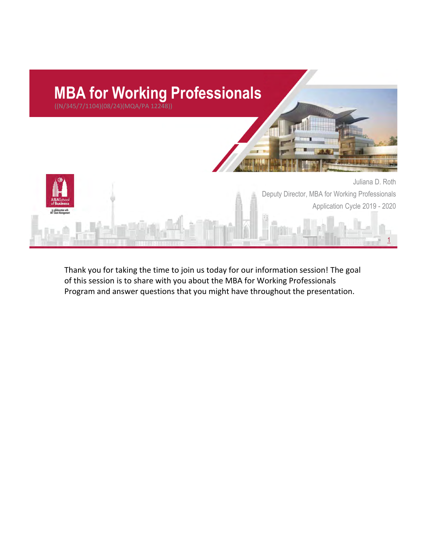

Thank you for taking the time to join us today for our information session! The goal of this session is to share with you about the MBA for Working Professionals Program and answer questions that you might have throughout the presentation.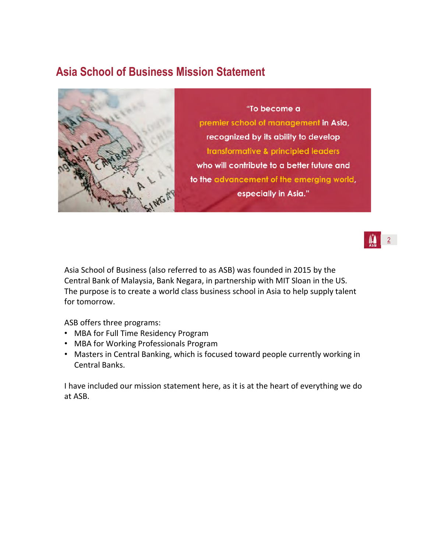## **Asia School of Business Mission Statement**



"To become a premier school of management in Asia, recognized by its ability to develop transformative & principled leaders who will contribute to a better future and to the advancement of the emerging world, especially in Asia."



Asia School of Business (also referred to as ASB) was founded in 2015 by the Central Bank of Malaysia, Bank Negara, in partnership with MIT Sloan in the US. The purpose is to create a world class business school in Asia to help supply talent for tomorrow.

ASB offers three programs:

- MBA for Full Time Residency Program
- MBA for Working Professionals Program
- Masters in Central Banking, which is focused toward people currently working in Central Banks.

I have included our mission statement here, as it is at the heart of everything we do at ASB.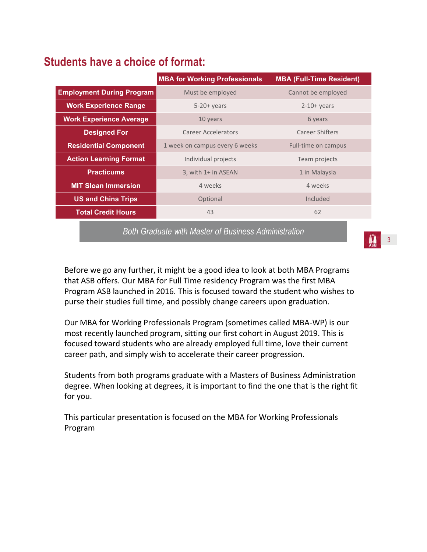## **Students have a choice of format:**

|                                  | <b>MBA for Working Professionals</b> | <b>MBA (Full-Time Resident)</b> |  |  |  |
|----------------------------------|--------------------------------------|---------------------------------|--|--|--|
| <b>Employment During Program</b> | Must be employed                     | Cannot be employed              |  |  |  |
| <b>Work Experience Range</b>     | $5-20+vears$                         | $2-10+years$                    |  |  |  |
| <b>Work Experience Average</b>   | 10 years                             | 6 years                         |  |  |  |
| <b>Designed For</b>              | <b>Career Accelerators</b>           | <b>Career Shifters</b>          |  |  |  |
| <b>Residential Component</b>     | 1 week on campus every 6 weeks       | Full-time on campus             |  |  |  |
| <b>Action Learning Format</b>    | Individual projects                  | Team projects                   |  |  |  |
| <b>Practicums</b>                | 3, with 1+ in ASEAN                  | 1 in Malaysia                   |  |  |  |
| <b>MIT Sloan Immersion</b>       | 4 weeks                              | 4 weeks                         |  |  |  |
| <b>US and China Trips</b>        | Optional                             | Included                        |  |  |  |
| <b>Total Credit Hours</b>        | 43                                   | 62                              |  |  |  |

*Both Graduate with Master of Business Administration*

Before we go any further, it might be a good idea to look at both MBA Programs that ASB offers. Our MBA for Full Time residency Program was the first MBA Program ASB launched in 2016. This is focused toward the student who wishes to purse their studies full time, and possibly change careers upon graduation.

Our MBA for Working Professionals Program (sometimes called MBA‐WP) is our most recently launched program, sitting our first cohort in August 2019. This is focused toward students who are already employed full time, love their current career path, and simply wish to accelerate their career progression.

Students from both programs graduate with a Masters of Business Administration degree. When looking at degrees, it is important to find the one that is the right fit for you.

This particular presentation is focused on the MBA for Working Professionals Program

3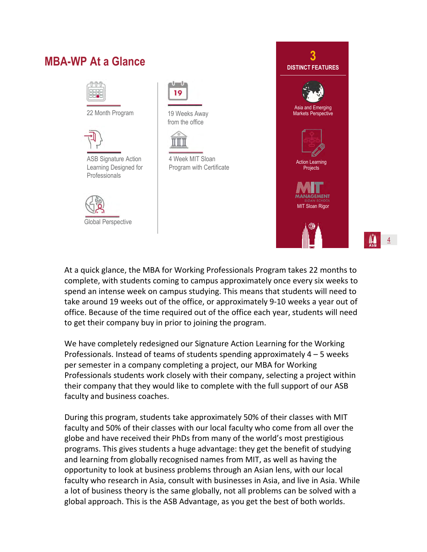



4

At a quick glance, the MBA for Working Professionals Program takes 22 months to complete, with students coming to campus approximately once every six weeks to spend an intense week on campus studying. This means that students will need to take around 19 weeks out of the office, or approximately 9‐10 weeks a year out of office. Because of the time required out of the office each year, students will need to get their company buy in prior to joining the program.

We have completely redesigned our Signature Action Learning for the Working Professionals. Instead of teams of students spending approximately 4 – 5 weeks per semester in a company completing a project, our MBA for Working Professionals students work closely with their company, selecting a project within their company that they would like to complete with the full support of our ASB faculty and business coaches.

During this program, students take approximately 50% of their classes with MIT faculty and 50% of their classes with our local faculty who come from all over the globe and have received their PhDs from many of the world's most prestigious programs. This gives students a huge advantage: they get the benefit of studying and learning from globally recognised names from MIT, as well as having the opportunity to look at business problems through an Asian lens, with our local faculty who research in Asia, consult with businesses in Asia, and live in Asia. While a lot of business theory is the same globally, not all problems can be solved with a global approach. This is the ASB Advantage, as you get the best of both worlds.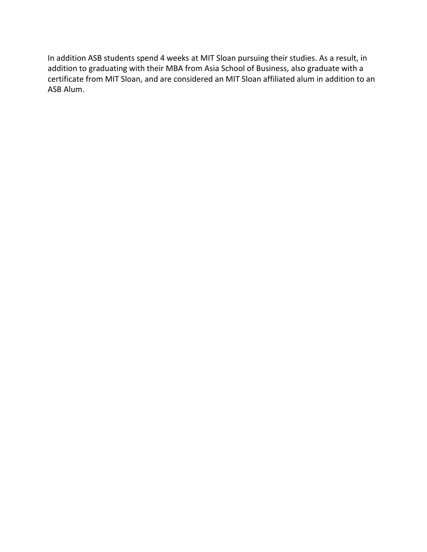In addition ASB students spend 4 weeks at MIT Sloan pursuing their studies. As a result, in addition to graduating with their MBA from Asia School of Business, also graduate with a certificate from MIT Sloan, and are considered an MIT Sloan affiliated alum in addition to an ASB Alum.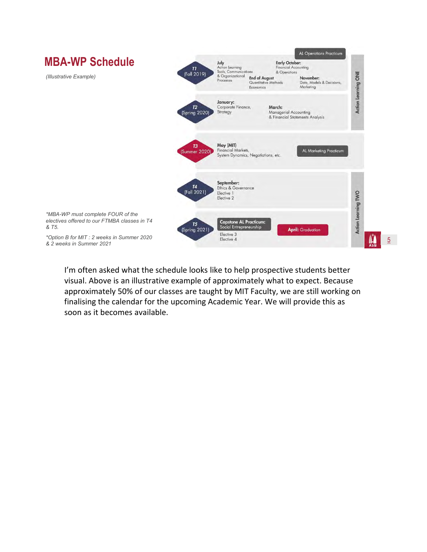

I'm often asked what the schedule looks like to help prospective students better visual. Above is an illustrative example of approximately what to expect. Because approximately 50% of our classes are taught by MIT Faculty, we are still working on finalising the calendar for the upcoming Academic Year. We will provide this as soon as it becomes available.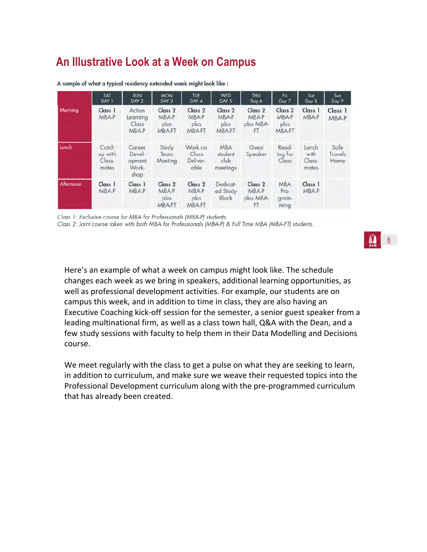# **An Illustrative Look at a Week on Campus**

|           | SAT<br>DAY 1                          | <b>SUN</b><br>DAY 2                         | <b>MON</b><br>DAY 3                                  | <b>TUE</b><br>DAY 4                                  | <b>WED</b><br>DAY 5                                  | <b>THU</b><br>Day 6                            | Frì<br>Day 7                                  | Sat<br>Day 8                     | Sun<br>Day 9                   |
|-----------|---------------------------------------|---------------------------------------------|------------------------------------------------------|------------------------------------------------------|------------------------------------------------------|------------------------------------------------|-----------------------------------------------|----------------------------------|--------------------------------|
| Morning   | Class 1<br>MBA-P                      | Action<br>Learning<br>Class<br>MBA-P        | Class <sub>2</sub><br>MBA-P<br>plus<br>MBA-FT        | Class <sub>2</sub><br>MBA-P<br>plus<br>MBA-FT        | Class <sub>2</sub><br>MBA-P<br>plus<br><b>MBA-FT</b> | Class <sub>2</sub><br>MBA-P<br>plus MBA-<br>FT | Class <sub>2</sub><br>MBA-P<br>plus<br>MBA-FT | Class 1<br>MBA-P                 | Class 1<br>MBA-P               |
| Lunch     | Catch<br>up with<br>$Class-$<br>mates | Career<br>Devel-<br>opment<br>Work-<br>shop | Study<br>Team<br>Meeting                             | Work on<br>Class<br>Deliver-<br>able                 | <b>MBA</b><br>student<br>club<br>meetings            | Guest<br>Speaker                               | Read-<br>ing for<br>Class                     | Lunch<br>with<br>Class-<br>mates | Safe<br><b>Travels</b><br>Home |
| Afternoon | Class 1<br>MBA-P                      | Class 1<br>MBA-P                            | Class <sub>2</sub><br>MBA-P<br>plus<br><b>MBA-FT</b> | Class <sub>2</sub><br>MBA-P<br>plus<br><b>MBA-FT</b> | Dedicat-<br>ed Study<br><b>Block</b>                 | Class <sub>2</sub><br>MBA-P<br>plus MBA-<br>FT | <b>MBA</b><br>Pro-<br>gram-<br>ming           | Class 1<br>MBA-P                 |                                |

A sample of what a typical residency extended week might look like :

Class 1: Exclusive course for MBA for Professionals (MBA-P) students.

Class 2: Joint course taken with both MBA for Professionals (MBA-P) & Full Time MBA (MBA-FT) students.

Here's an example of what a week on campus might look like. The schedule changes each week as we bring in speakers, additional learning opportunities, as well as professional development activities. For example, our students are on campus this week, and in addition to time in class, they are also having an Executive Coaching kick‐off session for the semester, a senior guest speaker from a leading multinational firm, as well as a class town hall, Q&A with the Dean, and a few study sessions with faculty to help them in their Data Modelling and Decisions course.

We meet regularly with the class to get a pulse on what they are seeking to learn, in addition to curriculum, and make sure we weave their requested topics into the Professional Development curriculum along with the pre‐programmed curriculum that has already been created.

6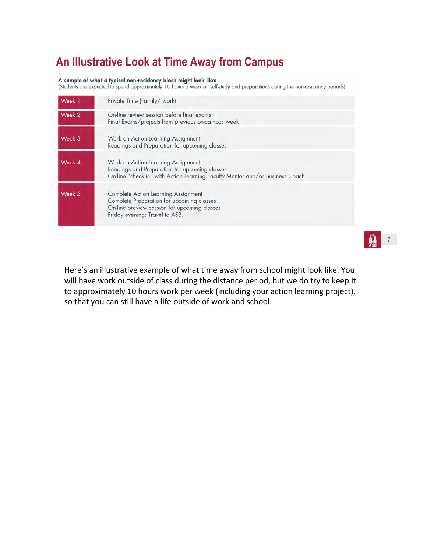# **An Illustrative Look at Time Away from Campus**

A sample of what a typical non-residency block might look like:

(Students are expected to spend approximately 10 hours a week on self-study and preparations during the non-residency periods)

| Week 1 | Private Time (Family/work)                                                                                                                                                |
|--------|---------------------------------------------------------------------------------------------------------------------------------------------------------------------------|
| Week 2 | On-line review session before final exams<br>Final Exams/projects from previous on-campus week                                                                            |
| Week 3 | Work on Action Learning Assignment<br>Readings and Preparation for upcoming classes                                                                                       |
| Week 4 | Work on Action Learning Assignment<br>Readings and Preparation for upcoming classes<br>On-line "check-in" with Action Learning Faculty Mentor and/or Business Coach       |
| Week 5 | <b>Complete Action Learning Assignment</b><br>Complete Preparation for upcoming classes<br>On-line preview session for upcoming classes<br>Friday evening: Travel to ASB. |

Here's an illustrative example of what time away from school might look like. You will have work outside of class during the distance period, but we do try to keep it to approximately 10 hours work per week (including your action learning project), so that you can still have a life outside of work and school.

7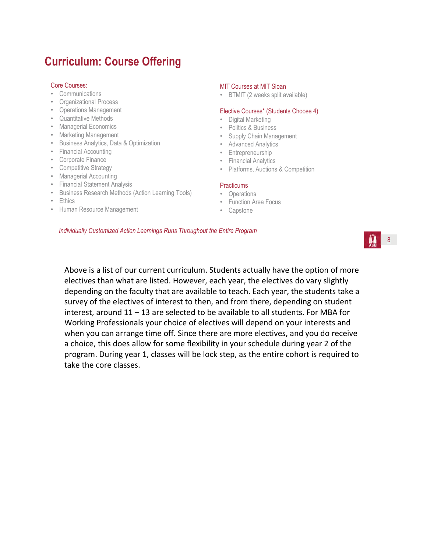# **Curriculum: Course Offering**

### Core Courses:

- Communications
- Organizational Process
- Operations Management
- Quantitative Methods
- Managerial Economics
- Marketing Management
- Business Analytics, Data & Optimization
- Financial Accounting
- Corporate Finance
- Competitive Strategy
- Managerial Accounting
- Financial Statement Analysis
- Business Research Methods (Action Learning Tools)
- Ethics
- Human Resource Management

### MIT Courses at MIT Sloan

• BTMIT (2 weeks split available)

### Elective Courses\* (Students Choose 4)

- Digital Marketing
- Politics & Business
- Supply Chain Management
- Advanced Analytics
- Entrepreneurship
- Financial Analytics
- Platforms, Auctions & Competition

### **Practicums**

- Operations
- Function Area Focus
- Capstone

*Individually Customized Action Learnings Runs Throughout the Entire Program*

8

Above is a list of our current curriculum. Students actually have the option of more electives than what are listed. However, each year, the electives do vary slightly depending on the faculty that are available to teach. Each year, the students take a survey of the electives of interest to then, and from there, depending on student interest, around 11 – 13 are selected to be available to all students. For MBA for Working Professionals your choice of electives will depend on your interests and when you can arrange time off. Since there are more electives, and you do receive a choice, this does allow for some flexibility in your schedule during year 2 of the program. During year 1, classes will be lock step, as the entire cohort is required to take the core classes.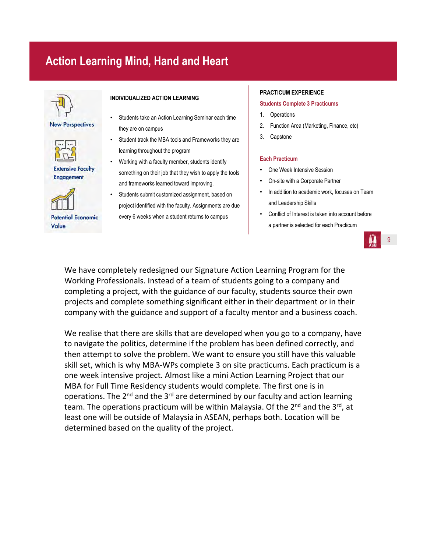# **Action Learning Mind, Hand and Heart**



**Extensive Faculty Engagement** 



### **INDIVIDUALIZED ACTION LEARNING**

- Students take an Action Learning Seminar each time they are on campus
- Student track the MBA tools and Frameworks they are learning throughout the program
- Working with a faculty member, students identify something on their job that they wish to apply the tools and frameworks learned toward improving.
- Students submit customized assignment, based on project identified with the faculty. Assignments are due every 6 weeks when a student returns to campus

### **PRACTICUM EXPERIENCE**

#### **Students Complete 3 Practicums**

- 1. Operations
- 2. Function Area (Marketing, Finance, etc)
- 3. Capstone

#### **Each Practicum**

- One Week Intensive Session
- On-site with a Corporate Partner
- In addition to academic work, focuses on Team and Leadership Skills
- Conflict of Interest is taken into account before a partner is selected for each Practicum



We have completely redesigned our Signature Action Learning Program for the Working Professionals. Instead of a team of students going to a company and completing a project, with the guidance of our faculty, students source their own projects and complete something significant either in their department or in their company with the guidance and support of a faculty mentor and a business coach.

We realise that there are skills that are developed when you go to a company, have to navigate the politics, determine if the problem has been defined correctly, and then attempt to solve the problem. We want to ensure you still have this valuable skill set, which is why MBA‐WPs complete 3 on site practicums. Each practicum is a one week intensive project. Almost like a mini Action Learning Project that our MBA for Full Time Residency students would complete. The first one is in operations. The  $2^{nd}$  and the  $3^{rd}$  are determined by our faculty and action learning team. The operations practicum will be within Malaysia. Of the  $2^{nd}$  and the  $3^{rd}$ , at least one will be outside of Malaysia in ASEAN, perhaps both. Location will be determined based on the quality of the project.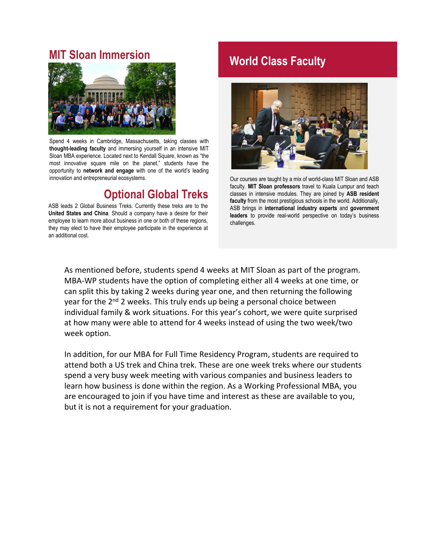### **MIT Sloan Immersion**



Spend 4 weeks in Cambridge, Massachusetts, taking classes with **thought-leading faculty** and immersing yourself in an intensive MIT Sloan MBA experience. Located next to Kendall Square, known as "the most innovative square mile on the planet," students have the opportunity to **network and engage** with one of the world's leading innovation and entrepreneurial ecosystems.

# **Optional Global Treks**

ASB leads 2 Global Business Treks. Currently these treks are to the **United States and China**. Should a company have a desire for their employee to learn more about business in one or both of these regions, they may elect to have their employee participate in the experience at an additional cost.

### **World Class Faculty**



Our courses are taught by a mix of world-class MIT Sloan and ASB faculty. **MIT Sloan professors** travel to Kuala Lumpur and teach classes in intensive modules. They are joined by **ASB resident faculty** from the most prestigious schools in the world. Additionally, ASB brings in **international industry experts** and **government leaders** to provide real-world perspective on today's business challenges.

As mentioned before, students spend 4 weeks at MIT Sloan as part of the program. MBA‐WP students have the option of completing either all 4 weeks at one time, or can split this by taking 2 weeks during year one, and then returning the following year for the 2<sup>nd</sup> 2 weeks. This truly ends up being a personal choice between individual family & work situations. For this year's cohort, we were quite surprised at how many were able to attend for 4 weeks instead of using the two week/two week option.

In addition, for our MBA for Full Time Residency Program, students are required to attend both a US trek and China trek. These are one week treks where our students spend a very busy week meeting with various companies and business leaders to learn how business is done within the region. As a Working Professional MBA, you are encouraged to join if you have time and interest as these are available to you, but it is not a requirement for your graduation.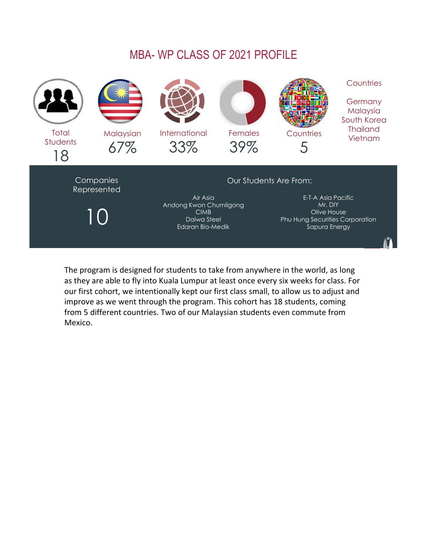# MBA- WP CLASS OF 2021 PROFILE



The program is designed for students to take from anywhere in the world, as long as they are able to fly into Kuala Lumpur at least once every six weeks for class. For our first cohort, we intentionally kept our first class small, to allow us to adjust and improve as we went through the program. This cohort has 18 students, coming from 5 different countries. Two of our Malaysian students even commute from Mexico.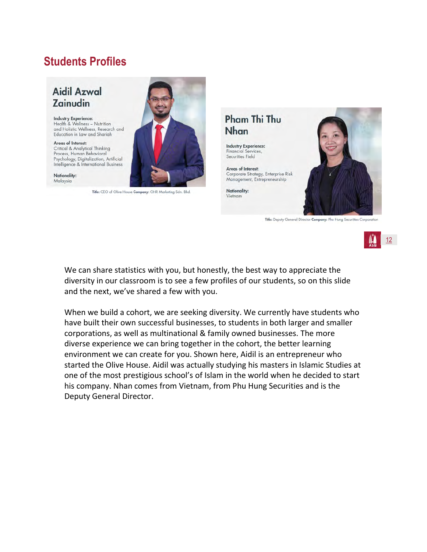# **Students Profiles**

### **Aidil Azwal Zainudin**

**Industry Experience:** Health & Wellness - Nutrition and Holistic Wellness, Research and Education in Law and Shariah

Areas of Interest: Critical & Analytical Thinking Process, Human Behavioral Psychology, Digitalization, Artificial Intelligence & International Business

Nationality: Malaysia

Title: CEO of Olive House Company: OHR Marketing Sdn. Bhd.



**Pham Thi Thu Nhan** 

**Industry Experience:** Financial Services, Securities Field

Areas of Interest: Corporate Strategy, Enterprise Risk Management, Entrepreneurship

Nationality: Vietnam



Title: Deputy General Director Company: Phu Hung Securities Corporation



We can share statistics with you, but honestly, the best way to appreciate the diversity in our classroom is to see a few profiles of our students, so on this slide and the next, we've shared a few with you.

When we build a cohort, we are seeking diversity. We currently have students who have built their own successful businesses, to students in both larger and smaller corporations, as well as multinational & family owned businesses. The more diverse experience we can bring together in the cohort, the better learning environment we can create for you. Shown here, Aidil is an entrepreneur who started the Olive House. Aidil was actually studying his masters in Islamic Studies at one of the most prestigious school's of Islam in the world when he decided to start his company. Nhan comes from Vietnam, from Phu Hung Securities and is the Deputy General Director.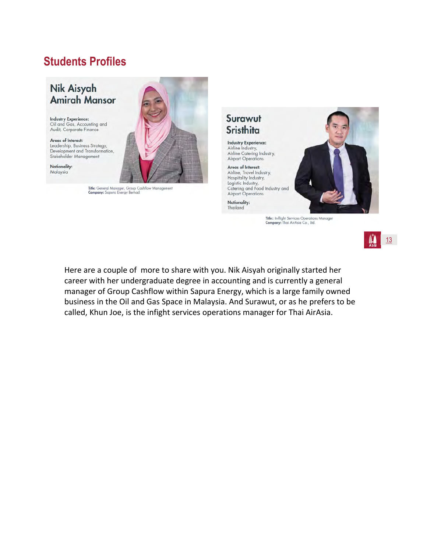# **Students Profiles**

Nik Aisyah

**Industry Experience:**<br>Oil and Gas, Accounting and

Leadership, Business Strategy,

Audit, Corporate Finance Areas of Interest:

Stakeholder Management

Nationality:

Malaysia



Title: General Manager, Group Cashflow Management<br>Company: Sapura Energy Berhad

### Surawut **Sristhita**

**Industry Experience:** Airline Industry,<br>Airline Catering Industry, Airport Operations

Areas of Interest: Airline, Travel Industry, Hospitality Industry, Logistic Industry,<br>Catering and Food Industry and<br>Airport Operations

Nationality: Thailand



Title:: In-flight Services Operations Manager<br>Company: Thai AirAsia Co., Ltd.

13

Here are a couple of more to share with you. Nik Aisyah originally started her career with her undergraduate degree in accounting and is currently a general manager of Group Cashflow within Sapura Energy, which is a large family owned business in the Oil and Gas Space in Malaysia. And Surawut, or as he prefers to be called, Khun Joe, is the infight services operations manager for Thai AirAsia.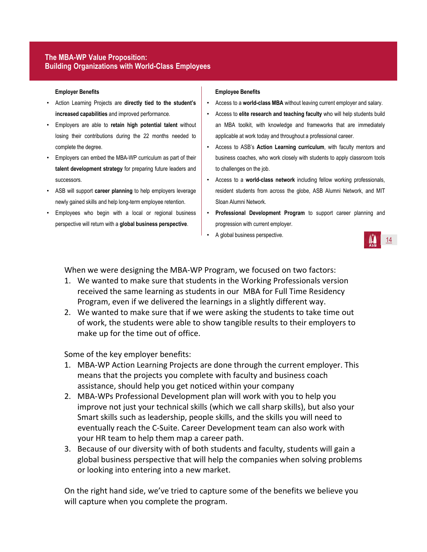### **The MBA-WP Value Proposition: Building Organizations with World-Class Employees**

#### **Employer Benefits**

- Action Learning Projects are **directly tied to the student's increased capabilities** and improved performance.
- Employers are able to **retain high potential talent** without losing their contributions during the 22 months needed to complete the degree.
- Employers can embed the MBA-WP curriculum as part of their **talent development strategy** for preparing future leaders and successors.
- ASB will support **career planning** to help employers leverage newly gained skills and help long-term employee retention.
- Employees who begin with a local or regional business perspective will return with a **global business perspective**.

### **Employee Benefits**

- Access to a **world-class MBA** without leaving current employer and salary.
- Access to **elite research and teaching faculty** who will help students build an MBA toolkit, with knowledge and frameworks that are immediately applicable at work today and throughout a professional career.
- Access to ASB's **Action Learning curriculum**, with faculty mentors and business coaches, who work closely with students to apply classroom tools to challenges on the job.
- Access to a **world-class network** including fellow working professionals, resident students from across the globe, ASB Alumni Network, and MIT Sloan Alumni Network.
- **Professional Development Program** to support career planning and progression with current employer.
- A global business perspective.



When we were designing the MBA‐WP Program, we focused on two factors:

- 1. We wanted to make sure that students in the Working Professionals version received the same learning as students in our MBA for Full Time Residency Program, even if we delivered the learnings in a slightly different way.
- 2. We wanted to make sure that if we were asking the students to take time out of work, the students were able to show tangible results to their employers to make up for the time out of office.

Some of the key employer benefits:

- 1. MBA‐WP Action Learning Projects are done through the current employer. This means that the projects you complete with faculty and business coach assistance, should help you get noticed within your company
- 2. MBA‐WPs Professional Development plan will work with you to help you improve not just your technical skills (which we call sharp skills), but also your Smart skills such as leadership, people skills, and the skills you will need to eventually reach the C‐Suite. Career Development team can also work with your HR team to help them map a career path.
- 3. Because of our diversity with of both students and faculty, students will gain a global business perspective that will help the companies when solving problems or looking into entering into a new market.

On the right hand side, we've tried to capture some of the benefits we believe you will capture when you complete the program.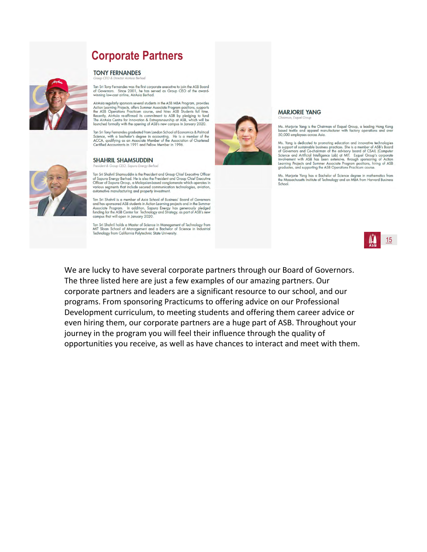

# **Corporate Partners**

### **TONY FERNANDES**

Tan Sri Tony Fernandes was the first corporate executive to join the ASB Board of Governors. Since 2001, he has served as Group CEO of the awardwinning low-cost airline, AirAsia Berhad.

AirAsia regularly sponsors several students in the ASB MBA Program, provides Arizista regularity sponsors several students in the A-Sb MbA Program, provides<br>Action Learning Projects, offers Summer Associate Program positions, supports<br>the ASB Operations Practicum course, and hires ASB Students full

Tan Sri Tony Fernandes graduated from London School of Economics & Political Science, with a bachelor's degree in accounting. He is a member of the ACCA, qualifying as an Associate Member of the Associate of Centered Certi



### **SHAHRIL SHAMSUDDIN**

Tan Sri Shahril Shamsuddin is the President and Group Chief Executive Officer<br>of Sapura Energy Berhad. He is also the President and Group Chief Executive Officer of Sapura Group, a Malaysian-based conglomerate which operates in strictive segments that include secured communication technologies, aviation, automotive manufacturing and property investment.

Tan Sri Shahril is a member of Asia School of Business' Board of Governors turn on to something a member of ASB students in Action Learning projects and in the Summer<br>Associate Program. In addition, Sapura Energy has generously pledged<br>funding for the ASB Center for Technology and Strategy, as pa campus that will open in January 2020.

Tan Sri Shahril holds a Master of Science in Management of Technology from<br>MIT Sloan School of Management and a Bachelor of Science in Industrial<br>Technology from California Polytechnic State University.



### **MARJORIE YANG**

Ms. Marjorie Yang is the Chairman of Esquel Group, a leading Hong Kong based textile and apparel manufacturer with factory operations and over 50,000 employees across Asia.

Ms. Yang is dedicated to promoting education and innovative technologies in support of sustainable business practices. She is a member of ASB's Board of Governors and Co-chairman of the edvisory board of CSAII. (Computer S

Ms. Marjorie Yang has a Bachelor of Science degree in mathematics from the Massachusetts Institute of Technology and an MBA from Harvard Business School.



We are lucky to have several corporate partners through our Board of Governors. The three listed here are just a few examples of our amazing partners. Our corporate partners and leaders are a significant resource to our school, and our programs. From sponsoring Practicums to offering advice on our Professional Development curriculum, to meeting students and offering them career advice or even hiring them, our corporate partners are a huge part of ASB. Throughout your journey in the program you will feel their influence through the quality of opportunities you receive, as well as have chances to interact and meet with them.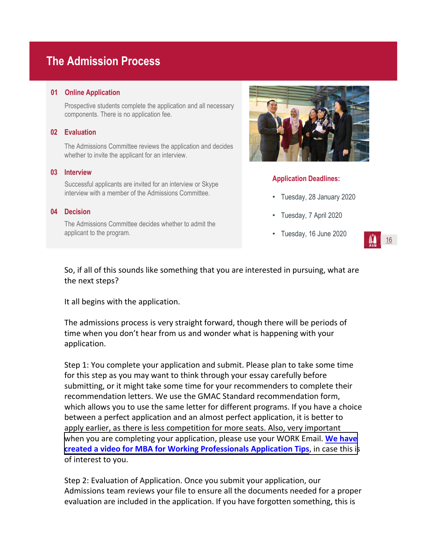## **The Admission Process**

### **01 Online Application**

Prospective students complete the application and all necessary components. There is no application fee.

### **02 Evaluation**

The Admissions Committee reviews the application and decides whether to invite the applicant for an interview.

### **03 Interview**

Successful applicants are invited for an interview or Skype interview with a member of the Admissions Committee.

### **04 Decision**

The Admissions Committee decides whether to admit the applicant to the program.



### **Application Deadlines:**

- Tuesday, 28 January 2020
- Tuesday, 7 April 2020
- Tuesday, 16 June 2020



So, if all of this sounds like something that you are interested in pursuing, what are the next steps?

It all begins with the application.

The admissions process is very straight forward, though there will be periods of time when you don't hear from us and wonder what is happening with your application.

Step 1: You complete your application and submit. Please plan to take some time for this step as you may want to think through your essay carefully before submitting, or it might take some time for your recommenders to complete their recommendation letters. We use the GMAC Standard recommendation form, which allows you to use the same letter for different programs. If you have a choice between a perfect application and an almost perfect application, it is better to apply earlier, as there is less competition for more seats. Also, very important when you are completing your application, please use your WORK Email. **We have [created a video for MBA for Working Professionals Application Tips](http://bit.ly/MBAWPAppTips)**, in case this is of interest to you.

Step 2: Evaluation of Application. Once you submit your application, our Admissions team reviews your file to ensure all the documents needed for a proper evaluation are included in the application. If you have forgotten something, this is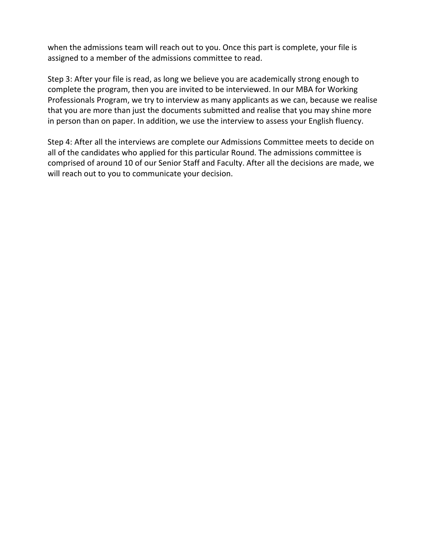when the admissions team will reach out to you. Once this part is complete, your file is assigned to a member of the admissions committee to read.

Step 3: After your file is read, as long we believe you are academically strong enough to complete the program, then you are invited to be interviewed. In our MBA for Working Professionals Program, we try to interview as many applicants as we can, because we realise that you are more than just the documents submitted and realise that you may shine more in person than on paper. In addition, we use the interview to assess your English fluency.

Step 4: After all the interviews are complete our Admissions Committee meets to decide on all of the candidates who applied for this particular Round. The admissions committee is comprised of around 10 of our Senior Staff and Faculty. After all the decisions are made, we will reach out to you to communicate your decision.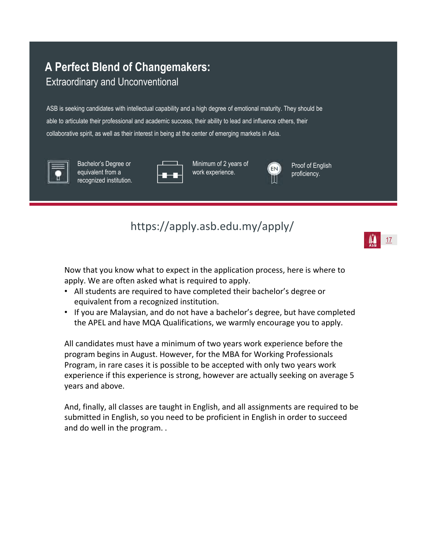# **A Perfect Blend of Changemakers:** Extraordinary and Unconventional

ASB is seeking candidates with intellectual capability and a high degree of emotional maturity. They should be able to articulate their professional and academic success, their ability to lead and influence others, their collaborative spirit, as well as their interest in being at the center of emerging markets in Asia.



Bachelor's Degree or equivalent from a recognized institution.



Minimum of 2 years of work experience.



Proof of English proficiency.



Now that you know what to expect in the application process, here is where to apply. We are often asked what is required to apply.

https://apply.asb.edu.my/apply/

- All students are required to have completed their bachelor's degree or equivalent from a recognized institution.
- If you are Malaysian, and do not have a bachelor's degree, but have completed the APEL and have MQA Qualifications, we warmly encourage you to apply.

All candidates must have a minimum of two years work experience before the program begins in August. However, for the MBA for Working Professionals Program, in rare cases it is possible to be accepted with only two years work experience if this experience is strong, however are actually seeking on average 5 years and above.

And, finally, all classes are taught in English, and all assignments are required to be submitted in English, so you need to be proficient in English in order to succeed and do well in the program. .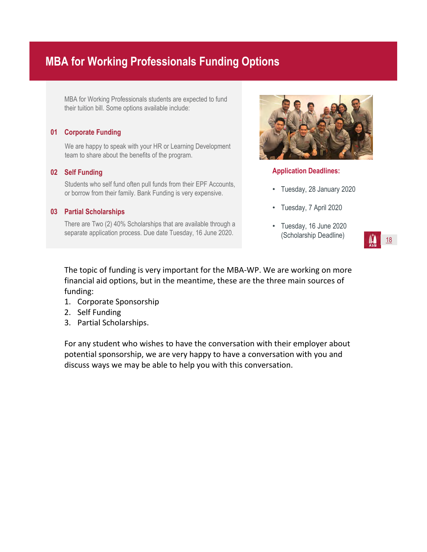# **MBA for Working Professionals Funding Options**

MBA for Working Professionals students are expected to fund their tuition bill. Some options available include:

### **01 Corporate Funding**

We are happy to speak with your HR or Learning Development team to share about the benefits of the program.

### **02 Self Funding**

Students who self fund often pull funds from their EPF Accounts, or borrow from their family. Bank Funding is very expensive.

### **03 Partial Scholarships**

There are Two (2) 40% Scholarships that are available through a separate application process. Due date Tuesday, 16 June 2020.



### **Application Deadlines:**

- Tuesday, 28 January 2020
- Tuesday, 7 April 2020
- Tuesday, 16 June 2020 (Scholarship Deadline)



The topic of funding is very important for the MBA‐WP. We are working on more financial aid options, but in the meantime, these are the three main sources of funding:

- 1. Corporate Sponsorship
- 2. Self Funding
- 3. Partial Scholarships.

For any student who wishes to have the conversation with their employer about potential sponsorship, we are very happy to have a conversation with you and discuss ways we may be able to help you with this conversation.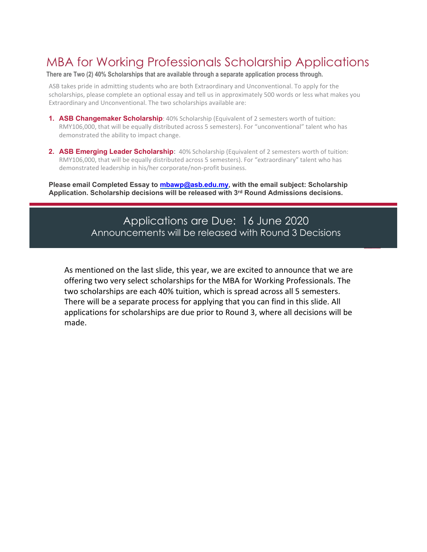# MBA for Working Professionals Scholarship Applications

**There are Two (2) 40% Scholarships that are available through a separate application process through.**

ASB takes pride in admitting students who are both Extraordinary and Unconventional. To apply for the scholarships, please complete an optional essay and tell us in approximately 500 words or less what makes you Extraordinary and Unconventional. The two scholarships available are:

- **1. ASB Changemaker Scholarship**: 40% Scholarship (Equivalent of 2 semesters worth of tuition: RMY106,000, that will be equally distributed across 5 semesters). For "unconventional" talent who has demonstrated the ability to impact change.
- **2. ASB Emerging Leader Scholarship:** 40% Scholarship (Equivalent of 2 semesters worth of tuition: RMY106,000, that will be equally distributed across 5 semesters). For "extraordinary" talent who has demonstrated leadership in his/her corporate/non‐profit business.

Please email Completed Essay to **mbawp@asb.edu.my**, with the email subject: Scholarship **Application. Scholarship decisions will be released with 3rd Round Admissions decisions.** 

### Applications are Due: 16 June 2020 Announcements will be released with Round 3 Decisions

As mentioned on the last slide, this year, we are excited to announce that we are offering two very select scholarships for the MBA for Working Professionals. The two scholarships are each 40% tuition, which is spread across all 5 semesters. There will be a separate process for applying that you can find in this slide. All applications for scholarships are due prior to Round 3, where all decisions will be made.